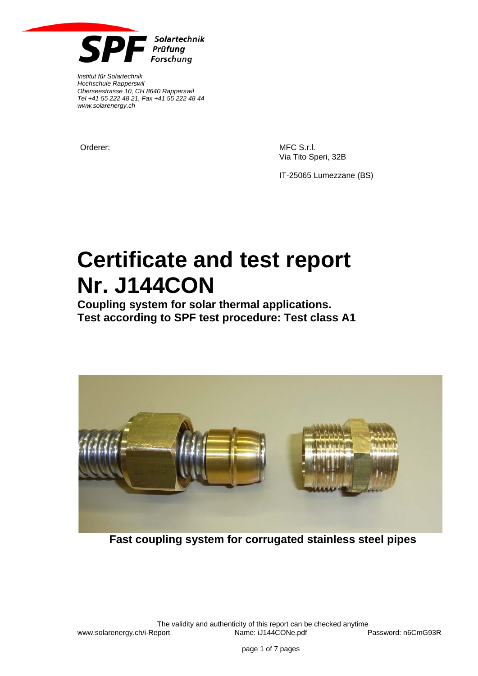

*Institut für Solartechnik Hochschule Rapperswil Oberseestrasse 10, CH 8640 Rapperswil Tel +41 55 222 48 21, Fax +41 55 222 48 44 www.solarenergy.ch*

Orderer: MFC S.r.l. Via Tito Speri, 32B

IT-25065 Lumezzane (BS)

# **Certificate and test report Nr. J144CON**

**Coupling system for solar thermal applications. Test according to SPF test procedure: Test class A1** 



**Fast coupling system for corrugated stainless steel pipes**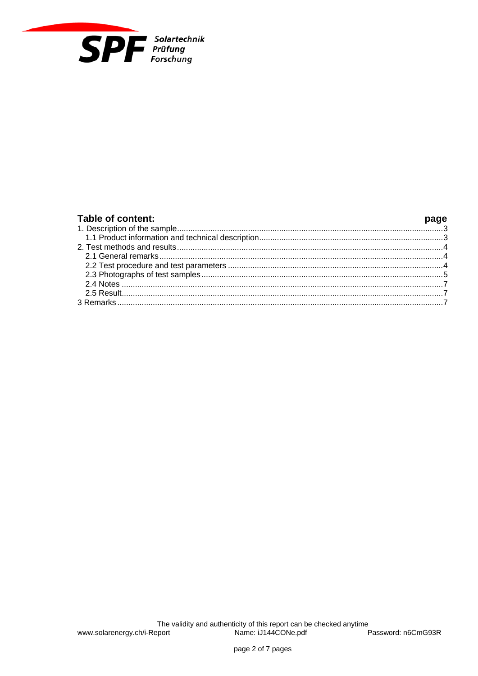

| Table of content: |  |
|-------------------|--|
|                   |  |
|                   |  |
|                   |  |
|                   |  |
|                   |  |
|                   |  |
|                   |  |
|                   |  |
|                   |  |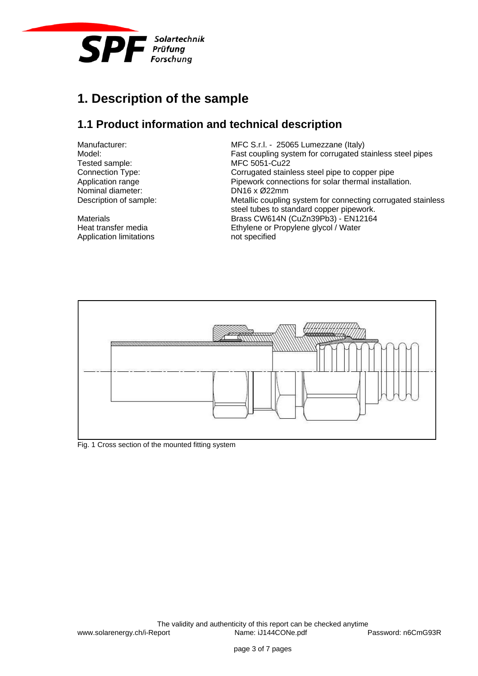

## **1. Description of the sample**

### **1.1 Product information and technical description**

Tested sample: MFC 5051-Cu22<br>
Connection Type: Connection Type: Corrugated stain Nominal diameter: DN16 x Ø22mm<br>Description of sample: Metallic coupling

Application limitations not specified

Manufacturer: MEC S.r.l. - 25065 Lumezzane (Italy)<br>Model: Model: East coupling system for corrugated some Fast coupling system for corrugated stainless steel pipes Connection Type:<br>
Corrugated stainless steel pipe to copper pipe<br>
Pipework connections for solar thermal installa<br>
Pipework connections for solar thermal installa Pipework connections for solar thermal installation. Metallic coupling system for connecting corrugated stainless steel tubes to standard copper pipework. Materials **Brass CW614N (CuZn39Pb3) - EN12164** Heat transfer media Ethylene or Propylene glycol / Water



Fig. 1 Cross section of the mounted fitting system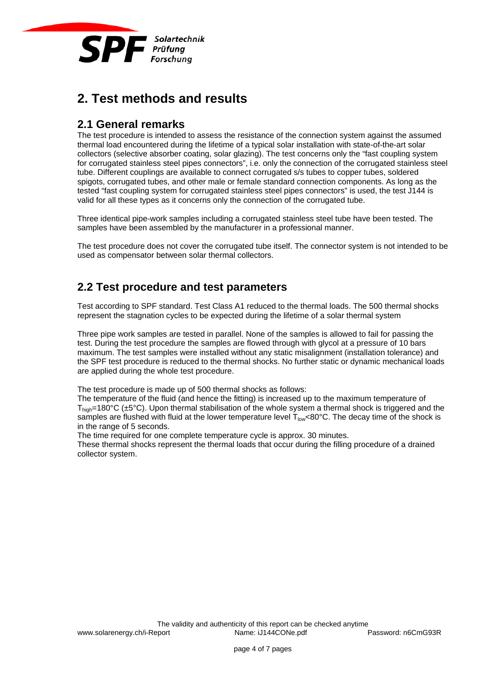

## **2. Test methods and results**

#### **2.1 General remarks**

The test procedure is intended to assess the resistance of the connection system against the assumed thermal load encountered during the lifetime of a typical solar installation with state-of-the-art solar collectors (selective absorber coating, solar glazing). The test concerns only the "fast coupling system for corrugated stainless steel pipes connectors", i.e. only the connection of the corrugated stainless steel tube. Different couplings are available to connect corrugated s/s tubes to copper tubes, soldered spigots, corrugated tubes, and other male or female standard connection components. As long as the tested "fast coupling system for corrugated stainless steel pipes connectors" is used, the test J144 is valid for all these types as it concerns only the connection of the corrugated tube.

Three identical pipe-work samples including a corrugated stainless steel tube have been tested. The samples have been assembled by the manufacturer in a professional manner.

The test procedure does not cover the corrugated tube itself. The connector system is not intended to be used as compensator between solar thermal collectors.

#### **2.2 Test procedure and test parameters**

Test according to SPF standard. Test Class A1 reduced to the thermal loads. The 500 thermal shocks represent the stagnation cycles to be expected during the lifetime of a solar thermal system

Three pipe work samples are tested in parallel. None of the samples is allowed to fail for passing the test. During the test procedure the samples are flowed through with glycol at a pressure of 10 bars maximum. The test samples were installed without any static misalignment (installation tolerance) and the SPF test procedure is reduced to the thermal shocks. No further static or dynamic mechanical loads are applied during the whole test procedure.

The test procedure is made up of 500 thermal shocks as follows:

The temperature of the fluid (and hence the fitting) is increased up to the maximum temperature of  $T_{\text{hich}}$ =180°C (±5°C). Upon thermal stabilisation of the whole system a thermal shock is triggered and the samples are flushed with fluid at the lower temperature level  $T_{low}$ <80°C. The decay time of the shock is in the range of 5 seconds.

The time required for one complete temperature cycle is approx. 30 minutes.

These thermal shocks represent the thermal loads that occur during the filling procedure of a drained collector system.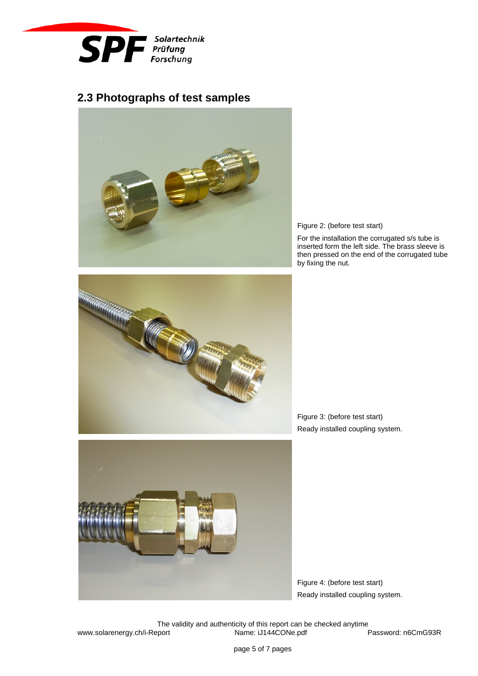

#### **2.3 Photographs of test samples**



Figure 2: (before test start)

For the installation the corrugated s/s tube is inserted form the left side. The brass sleeve is then pressed on the end of the corrugated tube by fixing the nut.



Figure 3: (before test start) Ready installed coupling system.



Figure 4: (before test start) Ready installed coupling system.

The validity and authenticity of this report can be checked anytime<br>
port **Drame:** iJ144CONe.pdf **bullers** Password: n6CmG93R www.solarenergy.ch/i-Report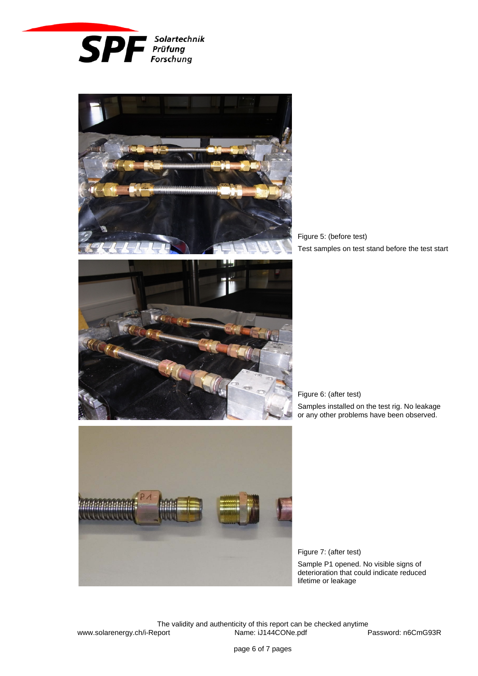



Figure 5: (before test) Test samples on test stand before the test start



Figure 6: (after test)

Samples installed on the test rig. No leakage or any other problems have been observed.



Figure 7: (after test) Sample P1 opened. No visible signs of deterioration that could indicate reduced lifetime or leakage

The validity and authenticity of this report can be checked anytime<br>port **Name:** iJ144CONe.pdf www.solarenergy.ch/i-Report Name: iJ144CONe.pdf Password: n6CmG93R